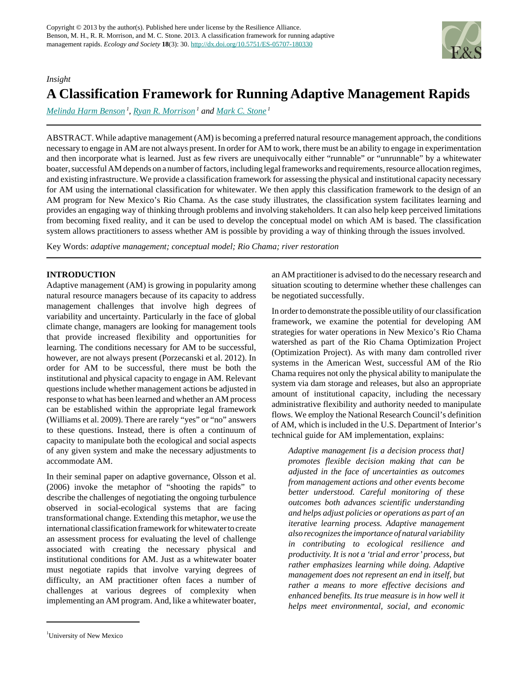

# *Insight* **A Classification Framework for Running Adaptive Management Rapids**

*[Melinda Harm Benson](mailto:mhbenson@unm.edu)<sup>1</sup>* , *[Ryan R. Morrison](mailto:rmorriso@unm.edu)<sup>1</sup> and [Mark C. Stone](mailto:stone@unm.edu)<sup>1</sup>*

ABSTRACT. While adaptive management (AM) is becoming a preferred natural resource management approach, the conditions necessary to engage in AM are not always present. In order for AM to work, there must be an ability to engage in experimentation and then incorporate what is learned. Just as few rivers are unequivocally either "runnable" or "unrunnable" by a whitewater boater, successful AM depends on a number of factors, including legal frameworks and requirements, resource allocation regimes, and existing infrastructure. We provide a classification framework for assessing the physical and institutional capacity necessary for AM using the international classification for whitewater. We then apply this classification framework to the design of an AM program for New Mexico's Rio Chama. As the case study illustrates, the classification system facilitates learning and provides an engaging way of thinking through problems and involving stakeholders. It can also help keep perceived limitations from becoming fixed reality, and it can be used to develop the conceptual model on which AM is based. The classification system allows practitioners to assess whether AM is possible by providing a way of thinking through the issues involved.

Key Words: *adaptive management; conceptual model; Rio Chama; river restoration*

## **INTRODUCTION**

Adaptive management (AM) is growing in popularity among natural resource managers because of its capacity to address management challenges that involve high degrees of variability and uncertainty. Particularly in the face of global climate change, managers are looking for management tools that provide increased flexibility and opportunities for learning. The conditions necessary for AM to be successful, however, are not always present (Porzecanski et al. 2012). In order for AM to be successful, there must be both the institutional and physical capacity to engage in AM. Relevant questions include whether management actions be adjusted in response to what has been learned and whether an AM process can be established within the appropriate legal framework (Williams et al. 2009). There are rarely "yes" or "no" answers to these questions. Instead, there is often a continuum of capacity to manipulate both the ecological and social aspects of any given system and make the necessary adjustments to accommodate AM.

In their seminal paper on adaptive governance, Olsson et al. (2006) invoke the metaphor of "shooting the rapids" to describe the challenges of negotiating the ongoing turbulence observed in social-ecological systems that are facing transformational change. Extending this metaphor, we use the international classification framework for whitewater to create an assessment process for evaluating the level of challenge associated with creating the necessary physical and institutional conditions for AM. Just as a whitewater boater must negotiate rapids that involve varying degrees of difficulty, an AM practitioner often faces a number of challenges at various degrees of complexity when implementing an AM program. And, like a whitewater boater,

an AM practitioner is advised to do the necessary research and situation scouting to determine whether these challenges can be negotiated successfully.

In order to demonstrate the possible utility of our classification framework, we examine the potential for developing AM strategies for water operations in New Mexico's Rio Chama watershed as part of the Rio Chama Optimization Project (Optimization Project). As with many dam controlled river systems in the American West, successful AM of the Rio Chama requires not only the physical ability to manipulate the system via dam storage and releases, but also an appropriate amount of institutional capacity, including the necessary administrative flexibility and authority needed to manipulate flows. We employ the National Research Council's definition of AM, which is included in the U.S. Department of Interior's technical guide for AM implementation, explains:

*Adaptive management [is a decision process that] promotes flexible decision making that can be adjusted in the face of uncertainties as outcomes from management actions and other events become better understood. Careful monitoring of these outcomes both advances scientific understanding and helps adjust policies or operations as part of an iterative learning process. Adaptive management also recognizes the importance of natural variability in contributing to ecological resilience and productivity. It is not a 'trial and error' process, but rather emphasizes learning while doing. Adaptive management does not represent an end in itself, but rather a means to more effective decisions and enhanced benefits. Its true measure is in how well it helps meet environmental, social, and economic*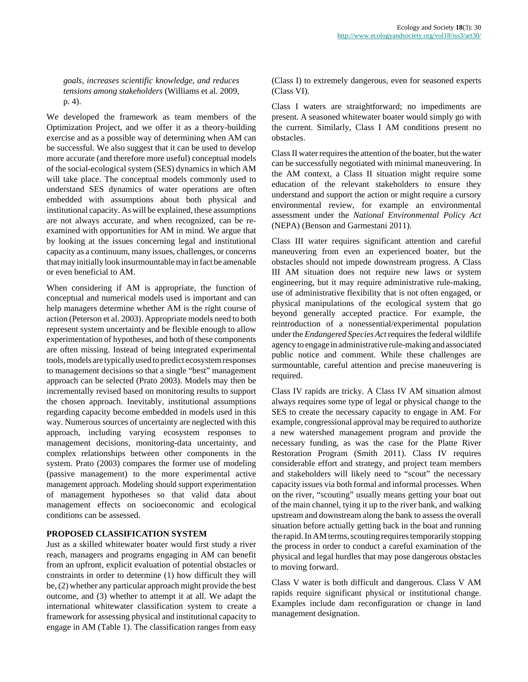*goals, increases scientific knowledge, and reduces tensions among stakeholders* (Williams et al. 2009, p. 4).

We developed the framework as team members of the Optimization Project, and we offer it as a theory-building exercise and as a possible way of determining when AM can be successful. We also suggest that it can be used to develop more accurate (and therefore more useful) conceptual models of the social-ecological system (SES) dynamics in which AM will take place. The conceptual models commonly used to understand SES dynamics of water operations are often embedded with assumptions about both physical and institutional capacity. As will be explained, these assumptions are not always accurate, and when recognized, can be reexamined with opportunities for AM in mind. We argue that by looking at the issues concerning legal and institutional capacity as a continuum, many issues, challenges, or concerns that may initially look insurmountable may in fact be amenable or even beneficial to AM.

When considering if AM is appropriate, the function of conceptual and numerical models used is important and can help managers determine whether AM is the right course of action (Peterson et al. 2003). Appropriate models need to both represent system uncertainty and be flexible enough to allow experimentation of hypotheses, and both of these components are often missing. Instead of being integrated experimental tools, models are typically used to predict ecosystem responses to management decisions so that a single "best" management approach can be selected (Prato 2003). Models may then be incrementally revised based on monitoring results to support the chosen approach. Inevitably, institutional assumptions regarding capacity become embedded in models used in this way. Numerous sources of uncertainty are neglected with this approach, including varying ecosystem responses to management decisions, monitoring-data uncertainty, and complex relationships between other components in the system. Prato (2003) compares the former use of modeling (passive management) to the more experimental active management approach. Modeling should support experimentation of management hypotheses so that valid data about management effects on socioeconomic and ecological conditions can be assessed.

#### **PROPOSED CLASSIFICATION SYSTEM**

Just as a skilled whitewater boater would first study a river reach, managers and programs engaging in AM can benefit from an upfront, explicit evaluation of potential obstacles or constraints in order to determine (1) how difficult they will be, (2) whether any particular approach might provide the best outcome, and (3) whether to attempt it at all. We adapt the international whitewater classification system to create a framework for assessing physical and institutional capacity to engage in AM (Table 1). The classification ranges from easy (Class I) to extremely dangerous, even for seasoned experts (Class VI).

Class I waters are straightforward; no impediments are present. A seasoned whitewater boater would simply go with the current. Similarly, Class I AM conditions present no obstacles.

Class II water requires the attention of the boater, but the water can be successfully negotiated with minimal maneuvering. In the AM context, a Class II situation might require some education of the relevant stakeholders to ensure they understand and support the action or might require a cursory environmental review, for example an environmental assessment under the *National Environmental Policy Act* (NEPA) (Benson and Garmestani 2011).

Class III water requires significant attention and careful maneuvering from even an experienced boater, but the obstacles should not impede downstream progress. A Class III AM situation does not require new laws or system engineering, but it may require administrative rule-making, use of administrative flexibility that is not often engaged, or physical manipulations of the ecological system that go beyond generally accepted practice. For example, the reintroduction of a nonessential/experimental population under the *Endangered Species Act* requires the federal wildlife agency to engage in administrative rule-making and associated public notice and comment. While these challenges are surmountable, careful attention and precise maneuvering is required.

Class IV rapids are tricky. A Class IV AM situation almost always requires some type of legal or physical change to the SES to create the necessary capacity to engage in AM. For example, congressional approval may be required to authorize a new watershed management program and provide the necessary funding, as was the case for the Platte River Restoration Program (Smith 2011). Class IV requires considerable effort and strategy, and project team members and stakeholders will likely need to "scout" the necessary capacity issues via both formal and informal processes. When on the river, "scouting" usually means getting your boat out of the main channel, tying it up to the river bank, and walking upstream and downstream along the bank to assess the overall situation before actually getting back in the boat and running the rapid. In AM terms, scouting requires temporarily stopping the process in order to conduct a careful examination of the physical and legal hurdles that may pose dangerous obstacles to moving forward.

Class V water is both difficult and dangerous. Class V AM rapids require significant physical or institutional change. Examples include dam reconfiguration or change in land management designation.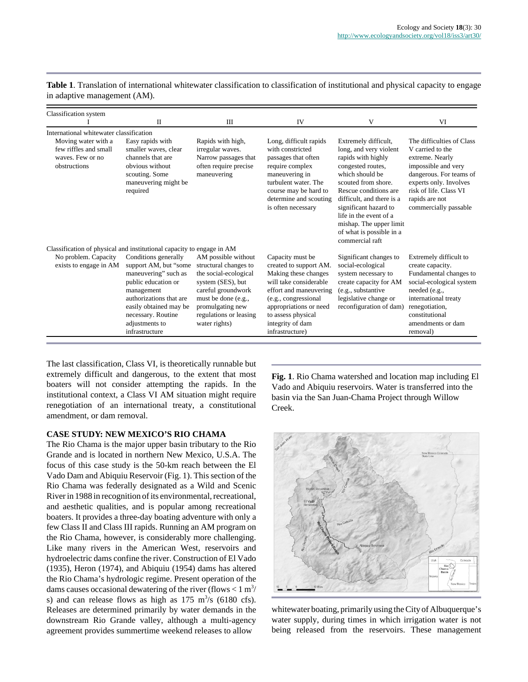**Table 1**. Translation of international whitewater classification to classification of institutional and physical capacity to engage in adaptive management (AM).

| Classification system                                                                                                       |                                                                                                                                                                                                    |                                                                                                                                                                                 |                                                                                                                                                                                                                   |                                                                                                                                                                                                        |                                                                                                                                                                                      |
|-----------------------------------------------------------------------------------------------------------------------------|----------------------------------------------------------------------------------------------------------------------------------------------------------------------------------------------------|---------------------------------------------------------------------------------------------------------------------------------------------------------------------------------|-------------------------------------------------------------------------------------------------------------------------------------------------------------------------------------------------------------------|--------------------------------------------------------------------------------------------------------------------------------------------------------------------------------------------------------|--------------------------------------------------------------------------------------------------------------------------------------------------------------------------------------|
|                                                                                                                             | П                                                                                                                                                                                                  | Ш                                                                                                                                                                               | IV                                                                                                                                                                                                                | V                                                                                                                                                                                                      | VI                                                                                                                                                                                   |
| International whitewater classification<br>Moving water with a<br>few riffles and small<br>waves. Few or no<br>obstructions | Easy rapids with<br>smaller waves, clear<br>channels that are<br>obvious without<br>scouting. Some                                                                                                 | Rapids with high,<br>irregular waves.<br>Narrow passages that<br>often require precise<br>maneuvering                                                                           | Long, difficult rapids<br>with constricted<br>passages that often<br>require complex<br>maneuvering in                                                                                                            | Extremely difficult,<br>long, and very violent<br>rapids with highly<br>congested routes,<br>which should be                                                                                           | The difficulties of Class<br>V carried to the<br>extreme. Nearly<br>impossible and very<br>dangerous. For teams of                                                                   |
|                                                                                                                             | maneuvering might be<br>required                                                                                                                                                                   | turbulent water. The<br>course may be hard to<br>determine and scouting<br>is often necessary                                                                                   |                                                                                                                                                                                                                   | scouted from shore.<br>Rescue conditions are<br>difficult, and there is a<br>significant hazard to<br>life in the event of a<br>mishap. The upper limit<br>of what is possible in a<br>commercial raft | experts only. Involves<br>risk of life. Class VI<br>rapids are not<br>commercially passable                                                                                          |
| Classification of physical and institutional capacity to engage in AM                                                       |                                                                                                                                                                                                    |                                                                                                                                                                                 |                                                                                                                                                                                                                   |                                                                                                                                                                                                        |                                                                                                                                                                                      |
| No problem. Capacity                                                                                                        | Conditions generally                                                                                                                                                                               | AM possible without                                                                                                                                                             | Capacity must be                                                                                                                                                                                                  | Significant changes to                                                                                                                                                                                 | Extremely difficult to                                                                                                                                                               |
| exists to engage in AM                                                                                                      | support AM, but "some"<br>maneuvering" such as<br>public education or<br>management<br>authorizations that are<br>easily obtained may be<br>necessary. Routine<br>adjustments to<br>infrastructure | structural changes to<br>the social-ecological<br>system (SES), but<br>careful groundwork<br>must be done (e.g.,<br>promulgating new<br>regulations or leasing<br>water rights) | created to support AM.<br>Making these changes<br>will take considerable<br>effort and maneuvering<br>(e.g., congressional<br>appropriations or need<br>to assess physical<br>integrity of dam<br>infrastructure) | social-ecological<br>system necessary to<br>create capacity for AM<br>(e.g., substantive<br>legislative change or<br>reconfiguration of dam)                                                           | create capacity.<br>Fundamental changes to<br>social-ecological system<br>needed (e.g.,<br>international treaty<br>renegotiation,<br>constitutional<br>amendments or dam<br>removal) |

The last classification, Class VI, is theoretically runnable but extremely difficult and dangerous, to the extent that most boaters will not consider attempting the rapids. In the institutional context, a Class VI AM situation might require renegotiation of an international treaty, a constitutional amendment, or dam removal.

#### **CASE STUDY: NEW MEXICO'S RIO CHAMA**

The Rio Chama is the major upper basin tributary to the Rio Grande and is located in northern New Mexico, U.S.A. The focus of this case study is the 50-km reach between the El Vado Dam and Abiquiu Reservoir (Fig. 1). This section of the Rio Chama was federally designated as a Wild and Scenic River in 1988 in recognition of its environmental, recreational, and aesthetic qualities, and is popular among recreational boaters. It provides a three-day boating adventure with only a few Class II and Class III rapids. Running an AM program on the Rio Chama, however, is considerably more challenging. Like many rivers in the American West, reservoirs and hydroelectric dams confine the river. Construction of El Vado (1935), Heron (1974), and Abiquiu (1954) dams has altered the Rio Chama's hydrologic regime. Present operation of the dams causes occasional dewatering of the river (flows  $< 1 \text{ m}^3$ / s) and can release flows as high as  $175 \text{ m}^3\text{/s}$  (6180 cfs). Releases are determined primarily by water demands in the downstream Rio Grande valley, although a multi-agency agreement provides summertime weekend releases to allow

**Fig. 1**. Rio Chama watershed and location map including El Vado and Abiquiu reservoirs. Water is transferred into the basin via the San Juan-Chama Project through Willow Creek.



whitewater boating, primarily using the City of Albuquerque's water supply, during times in which irrigation water is not being released from the reservoirs. These management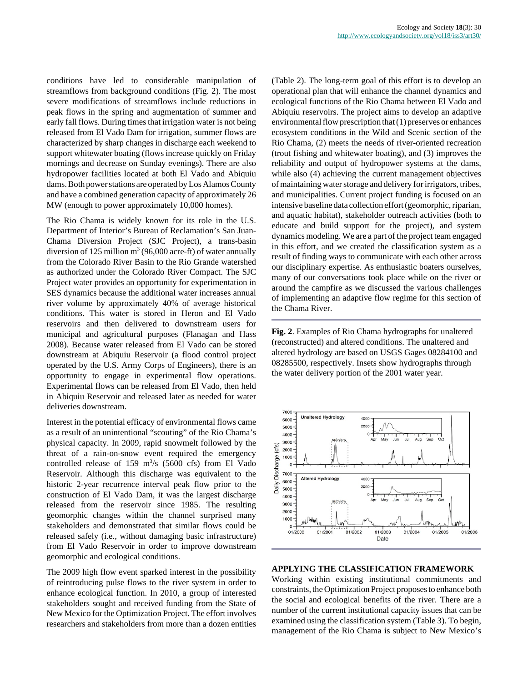conditions have led to considerable manipulation of streamflows from background conditions (Fig. 2). The most severe modifications of streamflows include reductions in peak flows in the spring and augmentation of summer and early fall flows. During times that irrigation water is not being released from El Vado Dam for irrigation, summer flows are characterized by sharp changes in discharge each weekend to support whitewater boating (flows increase quickly on Friday mornings and decrease on Sunday evenings). There are also hydropower facilities located at both El Vado and Abiquiu dams. Both power stations are operated by Los Alamos County and have a combined generation capacity of approximately 26 MW (enough to power approximately 10,000 homes).

The Rio Chama is widely known for its role in the U.S. Department of Interior's Bureau of Reclamation's San Juan-Chama Diversion Project (SJC Project), a trans-basin diversion of 125 million  $m^3$  (96,000 acre-ft) of water annually from the Colorado River Basin to the Rio Grande watershed as authorized under the Colorado River Compact. The SJC Project water provides an opportunity for experimentation in SES dynamics because the additional water increases annual river volume by approximately 40% of average historical conditions. This water is stored in Heron and El Vado reservoirs and then delivered to downstream users for municipal and agricultural purposes (Flanagan and Hass 2008). Because water released from El Vado can be stored downstream at Abiquiu Reservoir (a flood control project operated by the U.S. Army Corps of Engineers), there is an opportunity to engage in experimental flow operations. Experimental flows can be released from El Vado, then held in Abiquiu Reservoir and released later as needed for water deliveries downstream.

Interest in the potential efficacy of environmental flows came as a result of an unintentional "scouting" of the Rio Chama's physical capacity. In 2009, rapid snowmelt followed by the threat of a rain-on-snow event required the emergency controlled release of  $159 \text{ m}^3/\text{s}$  (5600 cfs) from El Vado Reservoir. Although this discharge was equivalent to the historic 2-year recurrence interval peak flow prior to the construction of El Vado Dam, it was the largest discharge released from the reservoir since 1985. The resulting geomorphic changes within the channel surprised many stakeholders and demonstrated that similar flows could be released safely (i.e., without damaging basic infrastructure) from El Vado Reservoir in order to improve downstream geomorphic and ecological conditions.

The 2009 high flow event sparked interest in the possibility of reintroducing pulse flows to the river system in order to enhance ecological function. In 2010, a group of interested stakeholders sought and received funding from the State of New Mexico for the Optimization Project. The effort involves researchers and stakeholders from more than a dozen entities (Table 2). The long-term goal of this effort is to develop an operational plan that will enhance the channel dynamics and ecological functions of the Rio Chama between El Vado and Abiquiu reservoirs. The project aims to develop an adaptive environmental flow prescription that (1) preserves or enhances ecosystem conditions in the Wild and Scenic section of the Rio Chama, (2) meets the needs of river-oriented recreation (trout fishing and whitewater boating), and (3) improves the reliability and output of hydropower systems at the dams, while also (4) achieving the current management objectives of maintaining water storage and delivery for irrigators, tribes, and municipalities. Current project funding is focused on an intensive baseline data collection effort (geomorphic, riparian, and aquatic habitat), stakeholder outreach activities (both to educate and build support for the project), and system dynamics modeling. We are a part of the project team engaged in this effort, and we created the classification system as a result of finding ways to communicate with each other across our disciplinary expertise. As enthusiastic boaters ourselves, many of our conversations took place while on the river or around the campfire as we discussed the various challenges of implementing an adaptive flow regime for this section of the Chama River.

**Fig. 2**. Examples of Rio Chama hydrographs for unaltered (reconstructed) and altered conditions. The unaltered and altered hydrology are based on USGS Gages 08284100 and 08285500, respectively. Insets show hydrographs through the water delivery portion of the 2001 water year.



**APPLYING THE CLASSIFICATION FRAMEWORK**

Working within existing institutional commitments and constraints, the Optimization Project proposes to enhance both the social and ecological benefits of the river. There are a number of the current institutional capacity issues that can be examined using the classification system (Table 3). To begin, management of the Rio Chama is subject to New Mexico's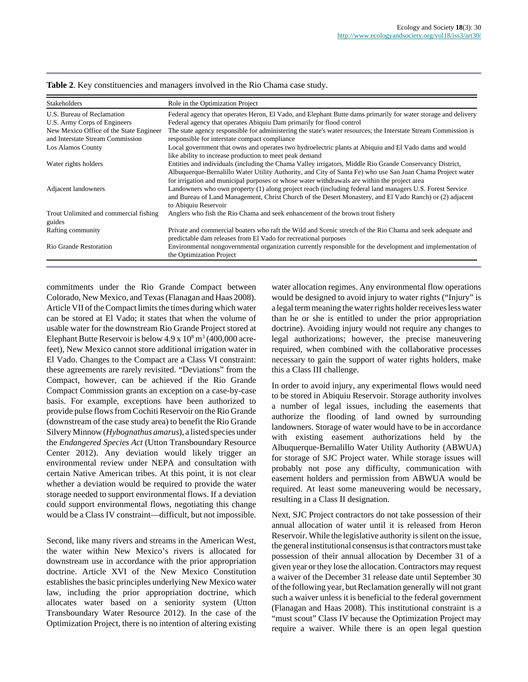| Stakeholders                                                                | Role in the Optimization Project                                                                                                                                                                                                                                                                                       |
|-----------------------------------------------------------------------------|------------------------------------------------------------------------------------------------------------------------------------------------------------------------------------------------------------------------------------------------------------------------------------------------------------------------|
| U.S. Bureau of Reclamation                                                  | Federal agency that operates Heron, El Vado, and Elephant Butte dams primarily for water storage and delivery                                                                                                                                                                                                          |
| U.S. Army Corps of Engineers                                                | Federal agency that operates Abiquiu Dam primarily for flood control                                                                                                                                                                                                                                                   |
| New Mexico Office of the State Engineer<br>and Interstate Stream Commission | The state agency responsible for administering the state's water resources; the Interstate Stream Commission is<br>responsible for interstate compact compliance                                                                                                                                                       |
| Los Alamos County                                                           | Local government that owns and operates two hydroelectric plants at Abiquiu and El Vado dams and would<br>like ability to increase production to meet peak demand                                                                                                                                                      |
| Water rights holders                                                        | Entities and individuals (including the Chama Valley irrigators, Middle Rio Grande Conservancy District,<br>Albuquerque-Bernalillo Water Utility Authority, and City of Santa Fe) who use San Juan Chama Project water<br>for irrigation and municipal purposes or whose water withdrawals are within the project area |
| Adjacent landowners                                                         | Landowners who own property (1) along project reach (including federal land managers U.S. Forest Service<br>and Bureau of Land Management, Christ Church of the Desert Monastery, and El Vado Ranch) or (2) adjacent<br>to Abiquiu Reservoir                                                                           |
| Trout Unlimited and commercial fishing<br>guides                            | Anglers who fish the Rio Chama and seek enhancement of the brown trout fishery                                                                                                                                                                                                                                         |
| Rafting community                                                           | Private and commercial boaters who raft the Wild and Scenic stretch of the Rio Chama and seek adequate and<br>predictable dam releases from El Vado for recreational purposes                                                                                                                                          |
| <b>Rio Grande Restoration</b>                                               | Environmental nongovernmental organization currently responsible for the development and implementation of<br>the Optimization Project                                                                                                                                                                                 |

|  | Table 2. Key constituencies and managers involved in the Rio Chama case study. |  |  |
|--|--------------------------------------------------------------------------------|--|--|
|--|--------------------------------------------------------------------------------|--|--|

commitments under the Rio Grande Compact between Colorado, New Mexico, and Texas (Flanagan and Haas 2008). Article VII of the Compact limits the times during which water can be stored at El Vado; it states that when the volume of usable water for the downstream Rio Grande Project stored at Elephant Butte Reservoir is below  $4.9 \times 10^8 \text{ m}^3$  (400,000 acrefeet), New Mexico cannot store additional irrigation water in El Vado. Changes to the Compact are a Class VI constraint: these agreements are rarely revisited. "Deviations" from the Compact, however, can be achieved if the Rio Grande Compact Commission grants an exception on a case-by-case basis. For example, exceptions have been authorized to provide pulse flows from Cochiti Reservoir on the Rio Grande (downstream of the case study area) to benefit the Rio Grande Silvery Minnow (*Hybognathus amarus*), a listed species under the *Endangered Species Act* (Utton Transboundary Resource Center 2012). Any deviation would likely trigger an environmental review under NEPA and consultation with certain Native American tribes. At this point, it is not clear whether a deviation would be required to provide the water storage needed to support environmental flows. If a deviation could support environmental flows, negotiating this change would be a Class IV constraint—difficult, but not impossible.

Second, like many rivers and streams in the American West, the water within New Mexico's rivers is allocated for downstream use in accordance with the prior appropriation doctrine. Article XVI of the New Mexico Constitution establishes the basic principles underlying New Mexico water law, including the prior appropriation doctrine, which allocates water based on a seniority system (Utton Transboundary Water Resource 2012). In the case of the Optimization Project, there is no intention of altering existing water allocation regimes. Any environmental flow operations would be designed to avoid injury to water rights ("Injury" is a legal term meaning the water rights holder receives less water than he or she is entitled to under the prior appropriation doctrine). Avoiding injury would not require any changes to legal authorizations; however, the precise maneuvering required, when combined with the collaborative processes necessary to gain the support of water rights holders, make this a Class III challenge.

In order to avoid injury, any experimental flows would need to be stored in Abiquiu Reservoir. Storage authority involves a number of legal issues, including the easements that authorize the flooding of land owned by surrounding landowners. Storage of water would have to be in accordance with existing easement authorizations held by the Albuquerque-Bernalillo Water Utility Authority (ABWUA) for storage of SJC Project water. While storage issues will probably not pose any difficulty, communication with easement holders and permission from ABWUA would be required. At least some maneuvering would be necessary, resulting in a Class II designation.

Next, SJC Project contractors do not take possession of their annual allocation of water until it is released from Heron Reservoir. While the legislative authority is silent on the issue, the general institutional consensus is that contractors must take possession of their annual allocation by December 31 of a given year or they lose the allocation. Contractors may request a waiver of the December 31 release date until September 30 of the following year, but Reclamation generally will not grant such a waiver unless it is beneficial to the federal government (Flanagan and Haas 2008). This institutional constraint is a "must scout" Class IV because the Optimization Project may require a waiver. While there is an open legal question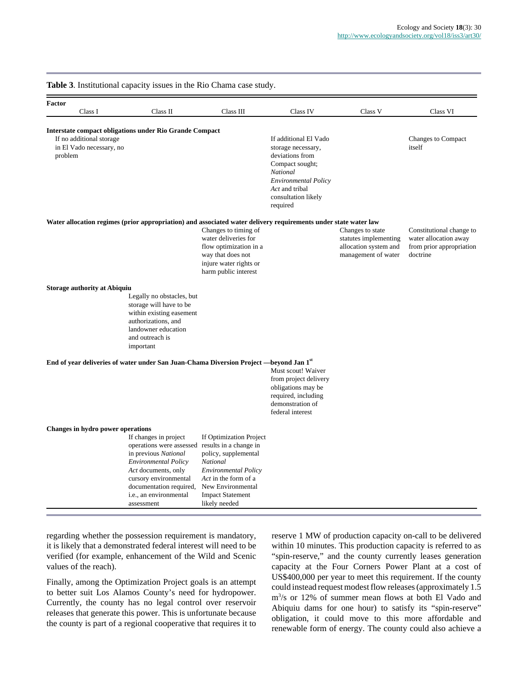|         |                                                      | Table 3. Institutional capacity issues in the Rio Chama case study.                                                                                                                                                         |                                                                                                                                                                                                               |                                                                                                                                                                                   |                                                                                           |                                                                                           |
|---------|------------------------------------------------------|-----------------------------------------------------------------------------------------------------------------------------------------------------------------------------------------------------------------------------|---------------------------------------------------------------------------------------------------------------------------------------------------------------------------------------------------------------|-----------------------------------------------------------------------------------------------------------------------------------------------------------------------------------|-------------------------------------------------------------------------------------------|-------------------------------------------------------------------------------------------|
| Factor  | Class I                                              | Class II                                                                                                                                                                                                                    | Class III                                                                                                                                                                                                     | Class IV                                                                                                                                                                          | Class V                                                                                   | Class VI                                                                                  |
| problem | If no additional storage<br>in El Vado necessary, no | <b>Interstate compact obligations under Rio Grande Compact</b>                                                                                                                                                              |                                                                                                                                                                                                               | If additional El Vado<br>storage necessary,<br>deviations from<br>Compact sought;<br>National<br><b>Environmental Policy</b><br>Act and tribal<br>consultation likely<br>required |                                                                                           | Changes to Compact<br>itself                                                              |
|         |                                                      | Water allocation regimes (prior appropriation) and associated water delivery requirements under state water law                                                                                                             | Changes to timing of<br>water deliveries for<br>flow optimization in a<br>way that does not<br>injure water rights or<br>harm public interest                                                                 |                                                                                                                                                                                   | Changes to state<br>statutes implementing<br>allocation system and<br>management of water | Constitutional change to<br>water allocation away<br>from prior appropriation<br>doctrine |
|         | <b>Storage authority at Abiquiu</b>                  | Legally no obstacles, but<br>storage will have to be<br>within existing easement<br>authorizations, and<br>landowner education<br>and outreach is<br>important                                                              |                                                                                                                                                                                                               |                                                                                                                                                                                   |                                                                                           |                                                                                           |
|         |                                                      | End of year deliveries of water under San Juan-Chama Diversion Project -beyond Jan 1st                                                                                                                                      |                                                                                                                                                                                                               | Must scout! Waiver<br>from project delivery<br>obligations may be<br>required, including<br>demonstration of<br>federal interest                                                  |                                                                                           |                                                                                           |
|         | Changes in hydro power operations                    | If changes in project<br>operations were assessed<br>in previous National<br><b>Environmental Policy</b><br>Act documents, only<br>cursory environmental<br>documentation required,<br>i.e., an environmental<br>assessment | If Optimization Project<br>results in a change in<br>policy, supplemental<br>National<br><b>Environmental Policy</b><br>Act in the form of a<br>New Environmental<br><b>Impact Statement</b><br>likely needed |                                                                                                                                                                                   |                                                                                           |                                                                                           |

regarding whether the possession requirement is mandatory, it is likely that a demonstrated federal interest will need to be verified (for example, enhancement of the Wild and Scenic values of the reach).

Finally, among the Optimization Project goals is an attempt to better suit Los Alamos County's need for hydropower. Currently, the county has no legal control over reservoir releases that generate this power. This is unfortunate because the county is part of a regional cooperative that requires it to reserve 1 MW of production capacity on-call to be delivered within 10 minutes. This production capacity is referred to as "spin-reserve," and the county currently leases generation capacity at the Four Corners Power Plant at a cost of US\$400,000 per year to meet this requirement. If the county could instead request modest flow releases (approximately 1.5 m 3 /s or 12% of summer mean flows at both El Vado and Abiquiu dams for one hour) to satisfy its "spin-reserve" obligation, it could move to this more affordable and renewable form of energy. The county could also achieve a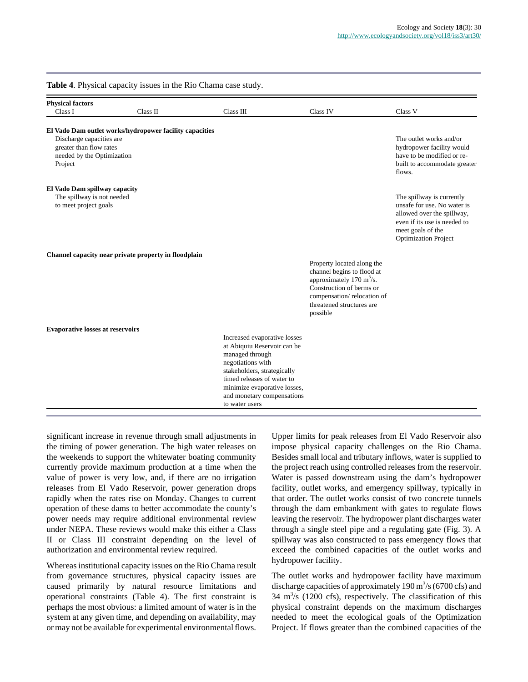| Table 4. Physical capacity issues in the Rio Chama case study.                                                                                          |          |                                                                                                                                                                                                                                                  |                                                                                                                                                                                            |                                                                                                                                                                            |  |
|---------------------------------------------------------------------------------------------------------------------------------------------------------|----------|--------------------------------------------------------------------------------------------------------------------------------------------------------------------------------------------------------------------------------------------------|--------------------------------------------------------------------------------------------------------------------------------------------------------------------------------------------|----------------------------------------------------------------------------------------------------------------------------------------------------------------------------|--|
| <b>Physical factors</b><br>Class I                                                                                                                      | Class II | Class III                                                                                                                                                                                                                                        | Class IV                                                                                                                                                                                   | Class V                                                                                                                                                                    |  |
| El Vado Dam outlet works/hydropower facility capacities<br>Discharge capacities are<br>greater than flow rates<br>needed by the Optimization<br>Project |          |                                                                                                                                                                                                                                                  |                                                                                                                                                                                            | The outlet works and/or<br>hydropower facility would<br>have to be modified or re-<br>built to accommodate greater<br>flows.                                               |  |
| El Vado Dam spillway capacity<br>The spillway is not needed<br>to meet project goals                                                                    |          |                                                                                                                                                                                                                                                  |                                                                                                                                                                                            | The spillway is currently<br>unsafe for use. No water is<br>allowed over the spillway,<br>even if its use is needed to<br>meet goals of the<br><b>Optimization Project</b> |  |
| Channel capacity near private property in floodplain                                                                                                    |          |                                                                                                                                                                                                                                                  | Property located along the<br>channel begins to flood at<br>approximately 170 $m^3$ /s.<br>Construction of berms or<br>compensation/relocation of<br>threatened structures are<br>possible |                                                                                                                                                                            |  |
| <b>Evaporative losses at reservoirs</b>                                                                                                                 |          | Increased evaporative losses<br>at Abiquiu Reservoir can be<br>managed through<br>negotiations with<br>stakeholders, strategically<br>timed releases of water to<br>minimize evaporative losses,<br>and monetary compensations<br>to water users |                                                                                                                                                                                            |                                                                                                                                                                            |  |

significant increase in revenue through small adjustments in the timing of power generation. The high water releases on the weekends to support the whitewater boating community currently provide maximum production at a time when the value of power is very low, and, if there are no irrigation releases from El Vado Reservoir, power generation drops rapidly when the rates rise on Monday. Changes to current operation of these dams to better accommodate the county's power needs may require additional environmental review under NEPA. These reviews would make this either a Class II or Class III constraint depending on the level of authorization and environmental review required.

Whereas institutional capacity issues on the Rio Chama result from governance structures, physical capacity issues are caused primarily by natural resource limitations and operational constraints (Table 4). The first constraint is perhaps the most obvious: a limited amount of water is in the system at any given time, and depending on availability, may or may not be available for experimental environmental flows.

Upper limits for peak releases from El Vado Reservoir also impose physical capacity challenges on the Rio Chama. Besides small local and tributary inflows, water is supplied to the project reach using controlled releases from the reservoir. Water is passed downstream using the dam's hydropower facility, outlet works, and emergency spillway, typically in that order. The outlet works consist of two concrete tunnels through the dam embankment with gates to regulate flows leaving the reservoir. The hydropower plant discharges water through a single steel pipe and a regulating gate (Fig. 3). A spillway was also constructed to pass emergency flows that exceed the combined capacities of the outlet works and hydropower facility.

The outlet works and hydropower facility have maximum discharge capacities of approximately  $190 \,\mathrm{m}^3/\mathrm{s}$  (6700 cfs) and 34 m<sup>3</sup> /s (1200 cfs), respectively. The classification of this physical constraint depends on the maximum discharges needed to meet the ecological goals of the Optimization Project. If flows greater than the combined capacities of the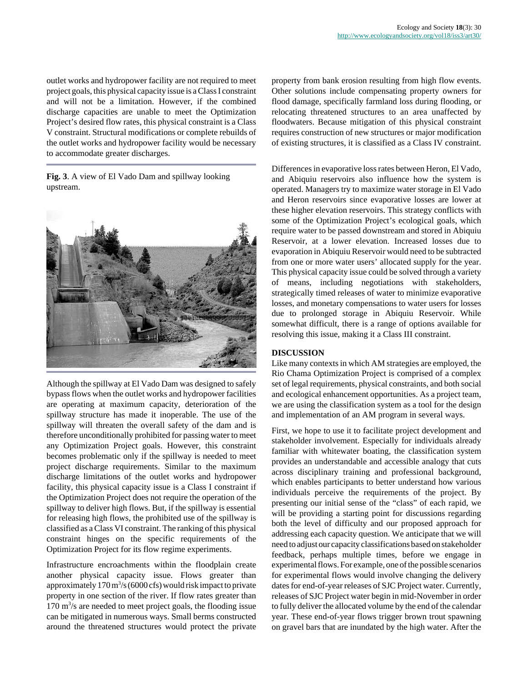outlet works and hydropower facility are not required to meet project goals, this physical capacity issue is a Class I constraint and will not be a limitation. However, if the combined discharge capacities are unable to meet the Optimization Project's desired flow rates, this physical constraint is a Class V constraint. Structural modifications or complete rebuilds of the outlet works and hydropower facility would be necessary to accommodate greater discharges.

**Fig. 3**. A view of El Vado Dam and spillway looking upstream.



Although the spillway at El Vado Dam was designed to safely bypass flows when the outlet works and hydropower facilities are operating at maximum capacity, deterioration of the spillway structure has made it inoperable. The use of the spillway will threaten the overall safety of the dam and is therefore unconditionally prohibited for passing water to meet any Optimization Project goals. However, this constraint becomes problematic only if the spillway is needed to meet project discharge requirements. Similar to the maximum discharge limitations of the outlet works and hydropower facility, this physical capacity issue is a Class I constraint if the Optimization Project does not require the operation of the spillway to deliver high flows. But, if the spillway is essential for releasing high flows, the prohibited use of the spillway is classified as a Class VI constraint. The ranking of this physical constraint hinges on the specific requirements of the Optimization Project for its flow regime experiments.

Infrastructure encroachments within the floodplain create another physical capacity issue. Flows greater than approximately  $170 \,\mathrm{m}^3/\mathrm{s}$  (6000 cfs) would risk impact to private property in one section of the river. If flow rates greater than  $170 \text{ m}^3$ /s are needed to meet project goals, the flooding issue can be mitigated in numerous ways. Small berms constructed around the threatened structures would protect the private property from bank erosion resulting from high flow events. Other solutions include compensating property owners for flood damage, specifically farmland loss during flooding, or relocating threatened structures to an area unaffected by floodwaters. Because mitigation of this physical constraint requires construction of new structures or major modification of existing structures, it is classified as a Class IV constraint.

Differences in evaporative loss rates between Heron, El Vado, and Abiquiu reservoirs also influence how the system is operated. Managers try to maximize water storage in El Vado and Heron reservoirs since evaporative losses are lower at these higher elevation reservoirs. This strategy conflicts with some of the Optimization Project's ecological goals, which require water to be passed downstream and stored in Abiquiu Reservoir, at a lower elevation. Increased losses due to evaporation in Abiquiu Reservoir would need to be subtracted from one or more water users' allocated supply for the year. This physical capacity issue could be solved through a variety of means, including negotiations with stakeholders, strategically timed releases of water to minimize evaporative losses, and monetary compensations to water users for losses due to prolonged storage in Abiquiu Reservoir. While somewhat difficult, there is a range of options available for resolving this issue, making it a Class III constraint.

### **DISCUSSION**

Like many contexts in which AM strategies are employed, the Rio Chama Optimization Project is comprised of a complex set of legal requirements, physical constraints, and both social and ecological enhancement opportunities. As a project team, we are using the classification system as a tool for the design and implementation of an AM program in several ways.

First, we hope to use it to facilitate project development and stakeholder involvement. Especially for individuals already familiar with whitewater boating, the classification system provides an understandable and accessible analogy that cuts across disciplinary training and professional background, which enables participants to better understand how various individuals perceive the requirements of the project. By presenting our initial sense of the "class" of each rapid, we will be providing a starting point for discussions regarding both the level of difficulty and our proposed approach for addressing each capacity question. We anticipate that we will need to adjust our capacity classifications based on stakeholder feedback, perhaps multiple times, before we engage in experimental flows. For example, one of the possible scenarios for experimental flows would involve changing the delivery dates for end-of-year releases of SJC Project water. Currently, releases of SJC Project water begin in mid-November in order to fully deliver the allocated volume by the end of the calendar year. These end-of-year flows trigger brown trout spawning on gravel bars that are inundated by the high water. After the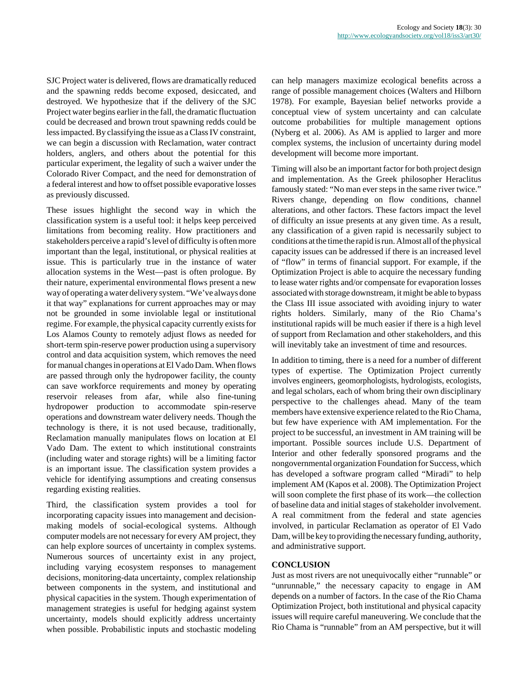SJC Project water is delivered, flows are dramatically reduced and the spawning redds become exposed, desiccated, and destroyed. We hypothesize that if the delivery of the SJC Project water begins earlier in the fall, the dramatic fluctuation could be decreased and brown trout spawning redds could be less impacted. By classifying the issue as a Class IV constraint, we can begin a discussion with Reclamation, water contract holders, anglers, and others about the potential for this particular experiment, the legality of such a waiver under the Colorado River Compact, and the need for demonstration of a federal interest and how to offset possible evaporative losses as previously discussed.

These issues highlight the second way in which the classification system is a useful tool: it helps keep perceived limitations from becoming reality. How practitioners and stakeholders perceive a rapid's level of difficulty is often more important than the legal, institutional, or physical realities at issue. This is particularly true in the instance of water allocation systems in the West—past is often prologue. By their nature, experimental environmental flows present a new way of operating a water delivery system. "We've always done it that way" explanations for current approaches may or may not be grounded in some inviolable legal or institutional regime. For example, the physical capacity currently exists for Los Alamos County to remotely adjust flows as needed for short-term spin-reserve power production using a supervisory control and data acquisition system, which removes the need for manual changes in operations at El Vado Dam. When flows are passed through only the hydropower facility, the county can save workforce requirements and money by operating reservoir releases from afar, while also fine-tuning hydropower production to accommodate spin-reserve operations and downstream water delivery needs. Though the technology is there, it is not used because, traditionally, Reclamation manually manipulates flows on location at El Vado Dam. The extent to which institutional constraints (including water and storage rights) will be a limiting factor is an important issue. The classification system provides a vehicle for identifying assumptions and creating consensus regarding existing realities.

Third, the classification system provides a tool for incorporating capacity issues into management and decisionmaking models of social-ecological systems. Although computer models are not necessary for every AM project, they can help explore sources of uncertainty in complex systems. Numerous sources of uncertainty exist in any project, including varying ecosystem responses to management decisions, monitoring-data uncertainty, complex relationship between components in the system, and institutional and physical capacities in the system. Though experimentation of management strategies is useful for hedging against system uncertainty, models should explicitly address uncertainty when possible. Probabilistic inputs and stochastic modeling

can help managers maximize ecological benefits across a range of possible management choices (Walters and Hilborn 1978). For example, Bayesian belief networks provide a conceptual view of system uncertainty and can calculate outcome probabilities for multiple management options (Nyberg et al. 2006). As AM is applied to larger and more complex systems, the inclusion of uncertainty during model development will become more important.

Timing will also be an important factor for both project design and implementation. As the Greek philosopher Heraclitus famously stated: "No man ever steps in the same river twice." Rivers change, depending on flow conditions, channel alterations, and other factors. These factors impact the level of difficulty an issue presents at any given time. As a result, any classification of a given rapid is necessarily subject to conditions at the time the rapid is run. Almost all of the physical capacity issues can be addressed if there is an increased level of "flow" in terms of financial support. For example, if the Optimization Project is able to acquire the necessary funding to lease water rights and/or compensate for evaporation losses associated with storage downstream, it might be able to bypass the Class III issue associated with avoiding injury to water rights holders. Similarly, many of the Rio Chama's institutional rapids will be much easier if there is a high level of support from Reclamation and other stakeholders, and this will inevitably take an investment of time and resources.

In addition to timing, there is a need for a number of different types of expertise. The Optimization Project currently involves engineers, geomorphologists, hydrologists, ecologists, and legal scholars, each of whom bring their own disciplinary perspective to the challenges ahead. Many of the team members have extensive experience related to the Rio Chama, but few have experience with AM implementation. For the project to be successful, an investment in AM training will be important. Possible sources include U.S. Department of Interior and other federally sponsored programs and the nongovernmental organization Foundation for Success, which has developed a software program called "Miradi" to help implement AM (Kapos et al. 2008). The Optimization Project will soon complete the first phase of its work—the collection of baseline data and initial stages of stakeholder involvement. A real commitment from the federal and state agencies involved, in particular Reclamation as operator of El Vado Dam, will be key to providing the necessary funding, authority, and administrative support.

### **CONCLUSION**

Just as most rivers are not unequivocally either "runnable" or "unrunnable," the necessary capacity to engage in AM depends on a number of factors. In the case of the Rio Chama Optimization Project, both institutional and physical capacity issues will require careful maneuvering. We conclude that the Rio Chama is "runnable" from an AM perspective, but it will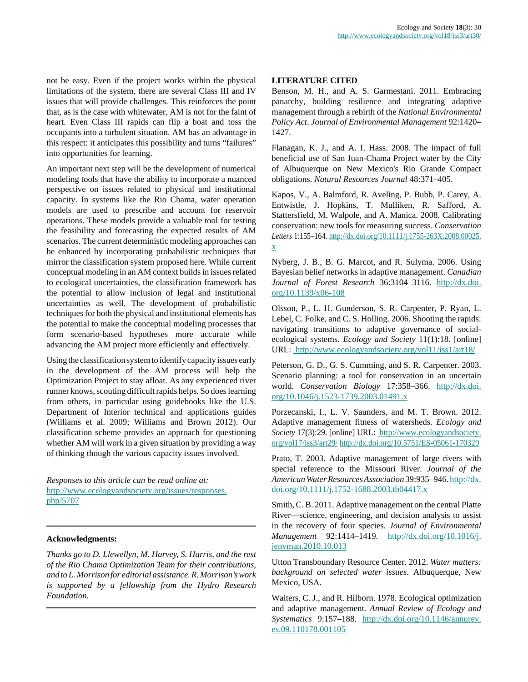not be easy. Even if the project works within the physical limitations of the system, there are several Class III and IV issues that will provide challenges. This reinforces the point that, as is the case with whitewater, AM is not for the faint of heart. Even Class III rapids can flip a boat and toss the occupants into a turbulent situation. AM has an advantage in this respect: it anticipates this possibility and turns "failures" into opportunities for learning.

An important next step will be the development of numerical modeling tools that have the ability to incorporate a nuanced perspective on issues related to physical and institutional capacity. In systems like the Rio Chama, water operation models are used to prescribe and account for reservoir operations. These models provide a valuable tool for testing the feasibility and forecasting the expected results of AM scenarios. The current deterministic modeling approaches can be enhanced by incorporating probabilistic techniques that mirror the classification system proposed here. While current conceptual modeling in an AM context builds in issues related to ecological uncertainties, the classification framework has the potential to allow inclusion of legal and institutional uncertainties as well. The development of probabilistic techniques for both the physical and institutional elements has the potential to make the conceptual modeling processes that form scenario-based hypotheses more accurate while advancing the AM project more efficiently and effectively.

Using the classification system to identify capacity issues early in the development of the AM process will help the Optimization Project to stay afloat. As any experienced river runner knows, scouting difficult rapids helps. So does learning from others, in particular using guidebooks like the U.S. Department of Interior technical and applications guides (Williams et al. 2009; Williams and Brown 2012). Our classification scheme provides an approach for questioning whether AM will work in a given situation by providing a way of thinking though the various capacity issues involved.

*Responses to this article can be read online at:* [http://www.ecologyandsociety.org/issues/responses.](http://www.ecologyandsociety.org/issues/responses.php/5707) [php/5707](http://www.ecologyandsociety.org/issues/responses.php/5707)

#### **Acknowledgments:**

*Thanks go to D. Llewellyn, M. Harvey, S. Harris, and the rest of the Rio Chama Optimization Team for their contributions, and to L. Morrison for editorial assistance. R. Morrison's work is supported by a fellowship from the Hydro Research Foundation.*

## **LITERATURE CITED**

Benson, M. H., and A. S. Garmestani. 2011. Embracing panarchy, building resilience and integrating adaptive management through a rebirth of the *National Environmental Policy Act*. *Journal of Environmental Management* 92:1420– 1427.

Flanagan, K. J., and A. I. Hass. 2008. The impact of full beneficial use of San Juan-Chama Project water by the City of Albuquerque on New Mexico's Rio Grande Compact obligations. *Natural Resources Journal* 48:371–405.

Kapos, V., A. Balmford, R. Aveling, P. Bubb, P. Carey, A. Entwistle, J. Hopkins, T. Mulliken, R. Safford, A. Stattersfield, M. Walpole, and A. Manica. 2008. Calibrating conservation: new tools for measuring success. *Conservation Letters* 1:155–164. [http://dx.doi.org/10.1111/j.1755-263X.2008.00025.](http://dx.doi.org/10.1111/j.1755-263X.2008.00025.x) [x](http://dx.doi.org/10.1111/j.1755-263X.2008.00025.x)

Nyberg, J. B., B. G. Marcot, and R. Sulyma. 2006. Using Bayesian belief networks in adaptive management. *Canadian Journal of Forest Research* 36:3104–3116. [http://dx.doi.](http://dx.doi.org/10.1139/x06-108) [org/10.1139/x06-108](http://dx.doi.org/10.1139/x06-108)

Olsson, P., L. H. Gunderson, S. R. Carpenter, P. Ryan, L. Lebel, C. Folke, and C. S. Holling. 2006. Shooting the rapids: navigating transitions to adaptive governance of socialecological systems. *Ecology and Society* 11(1):18. [online] URL:<http://www.ecologyandsociety.org/vol11/iss1/art18/>

Peterson, G. D., G. S. Cumming, and S. R. Carpenter. 2003. Scenario planning: a tool for conservation in an uncertain world. *Conservation Biology* 17:358–366. [http://dx.doi.](http://dx.doi.org/10.1046/j.1523-1739.2003.01491.x) [org/10.1046/j.1523-1739.2003.01491.x](http://dx.doi.org/10.1046/j.1523-1739.2003.01491.x)

Porzecanski, I., L. V. Saunders, and M. T. Brown. 2012. Adaptive management fitness of watersheds. *Ecology and Society* 17(3):29. [online] URL: [http://www.ecologyandsociety.](http://www.ecologyandsociety.org/vol17/iss3/art29/) [org/vol17/iss3/art29/](http://www.ecologyandsociety.org/vol17/iss3/art29/) <http://dx.doi.org/10.5751/ES-05061-170329>

Prato, T. 2003. Adaptive management of large rivers with special reference to the Missouri River. *Journal of the American Water Resources Association* 39:935–946. [http://dx.](http://dx.doi.org/10.1111/j.1752-1688.2003.tb04417.x) [doi.org/10.1111/j.1752-1688.2003.tb04417.x](http://dx.doi.org/10.1111/j.1752-1688.2003.tb04417.x)

Smith, C. B. 2011. Adaptive management on the central Platte River—science, engineering, and decision analysis to assist in the recovery of four species. *Journal of Environmental Management* 92:1414–1419. [http://dx.doi.org/10.1016/j.](http://dx.doi.org/10.1016/j.jenvman.2010.10.013) [jenvman.2010.10.013](http://dx.doi.org/10.1016/j.jenvman.2010.10.013)

Utton Transboundary Resource Center. 2012. *Water matters: background on selected water issues.* Albuquerque, New Mexico, USA.

Walters, C. J., and R. Hilborn. 1978. Ecological optimization and adaptive management. *Annual Review of Ecology and Systematics* 9:157–188. [http://dx.doi.org/10.1146/annurev.](http://dx.doi.org/10.1146/annurev.es.09.110178.001105) [es.09.110178.001105](http://dx.doi.org/10.1146/annurev.es.09.110178.001105)